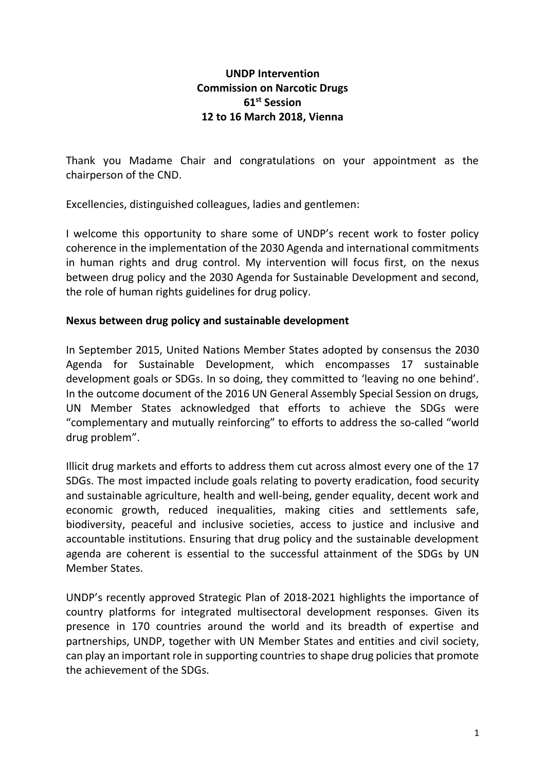## **UNDP Intervention Commission on Narcotic Drugs 61 st Session 12 to 16 March 2018, Vienna**

Thank you Madame Chair and congratulations on your appointment as the chairperson of the CND.

Excellencies, distinguished colleagues, ladies and gentlemen:

I welcome this opportunity to share some of UNDP's recent work to foster policy coherence in the implementation of the 2030 Agenda and international commitments in human rights and drug control. My intervention will focus first, on the nexus between drug policy and the 2030 Agenda for Sustainable Development and second, the role of human rights guidelines for drug policy.

## **Nexus between drug policy and sustainable development**

In September 2015, United Nations Member States adopted by consensus the 2030 Agenda for Sustainable Development, which encompasses 17 sustainable development goals or SDGs. In so doing, they committed to 'leaving no one behind'. In the outcome document of the 2016 UN General Assembly Special Session on drugs, UN Member States acknowledged that efforts to achieve the SDGs were "complementary and mutually reinforcing" to efforts to address the so-called "world drug problem".

Illicit drug markets and efforts to address them cut across almost every one of the 17 SDGs. The most impacted include goals relating to poverty eradication, food security and sustainable agriculture, health and well-being, gender equality, decent work and economic growth, reduced inequalities, making cities and settlements safe, biodiversity, peaceful and inclusive societies, access to justice and inclusive and accountable institutions. Ensuring that drug policy and the sustainable development agenda are coherent is essential to the successful attainment of the SDGs by UN Member States.

UNDP's recently approved Strategic Plan of 2018-2021 highlights the importance of country platforms for integrated multisectoral development responses. Given its presence in 170 countries around the world and its breadth of expertise and partnerships, UNDP, together with UN Member States and entities and civil society, can play an important role in supporting countries to shape drug policies that promote the achievement of the SDGs.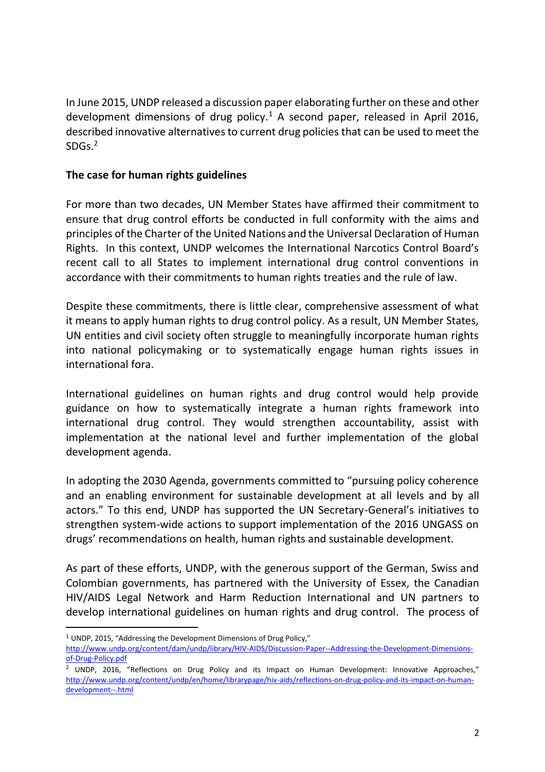In June 2015, UNDP released a discussion paper elaborating further on these and other development dimensions of drug policy.<sup>1</sup> A second paper, released in April 2016, described innovative alternatives to current drug policies that can be used to meet the SDGs. 2

## **The case for human rights guidelines**

 $\overline{a}$ 

For more than two decades, UN Member States have affirmed their commitment to ensure that drug control efforts be conducted in full conformity with the aims and principles of the Charter of the United Nations and the Universal Declaration of Human Rights. In this context, UNDP welcomes the International Narcotics Control Board's recent call to all States to implement international drug control conventions in accordance with their commitments to human rights treaties and the rule of law.

Despite these commitments, there is little clear, comprehensive assessment of what it means to apply human rights to drug control policy. As a result, UN Member States, UN entities and civil society often struggle to meaningfully incorporate human rights into national policymaking or to systematically engage human rights issues in international fora.

International guidelines on human rights and drug control would help provide guidance on how to systematically integrate a human rights framework into international drug control. They would strengthen accountability, assist with implementation at the national level and further implementation of the global development agenda.

In adopting the 2030 Agenda, governments committed to "pursuing policy coherence and an enabling environment for sustainable development at all levels and by all actors." To this end, UNDP has supported the UN Secretary-General's initiatives to strengthen system-wide actions to support implementation of the 2016 UNGASS on drugs' recommendations on health, human rights and sustainable development.

As part of these efforts, UNDP, with the generous support of the German, Swiss and Colombian governments, has partnered with the University of Essex, the Canadian HIV/AIDS Legal Network and Harm Reduction International and UN partners to develop international guidelines on human rights and drug control. The process of

<sup>1</sup> UNDP, 2015, "Addressing the Development Dimensions of Drug Policy," [http://www.undp.org/content/dam/undp/library/HIV-AIDS/Discussion-Paper--Addressing-the-Development-Dimensions](http://www.undp.org/content/dam/undp/library/HIV-AIDS/Discussion-Paper--Addressing-the-Development-Dimensions-of-Drug-Policy.pdf)[of-Drug-Policy.pdf](http://www.undp.org/content/dam/undp/library/HIV-AIDS/Discussion-Paper--Addressing-the-Development-Dimensions-of-Drug-Policy.pdf)

<sup>&</sup>lt;sup>2</sup> UNDP, 2016, "Reflections on Drug Policy and its Impact on Human Development: Innovative Approaches," [http://www.undp.org/content/undp/en/home/librarypage/hiv-aids/reflections-on-drug-policy-and-its-impact-on-human](http://www.undp.org/content/undp/en/home/librarypage/hiv-aids/reflections-on-drug-policy-and-its-impact-on-human-development--.html)[development--.html](http://www.undp.org/content/undp/en/home/librarypage/hiv-aids/reflections-on-drug-policy-and-its-impact-on-human-development--.html)